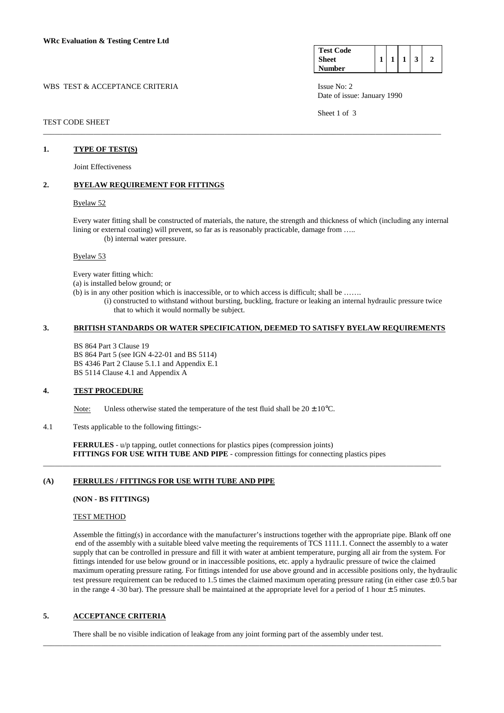## WBS TEST & ACCEPTANCE CRITERIA ISSUE No: 2

## TEST CODE SHEET

## **1. TYPE OF TEST(S)**

Joint Effectiveness

# **2. BYELAW REQUIREMENT FOR FITTINGS**

# Byelaw 52

 Every water fitting shall be constructed of materials, the nature, the strength and thickness of which (including any internal lining or external coating) will prevent, so far as is reasonably practicable, damage from ..... (b) internal water pressure.

\_\_\_\_\_\_\_\_\_\_\_\_\_\_\_\_\_\_\_\_\_\_\_\_\_\_\_\_\_\_\_\_\_\_\_\_\_\_\_\_\_\_\_\_\_\_\_\_\_\_\_\_\_\_\_\_\_\_\_\_\_\_\_\_\_\_\_\_\_\_\_\_\_\_\_\_\_\_\_\_\_\_\_\_\_\_\_\_\_\_\_\_\_\_\_\_\_\_\_\_\_\_\_

Byelaw 53

Every water fitting which:

(a) is installed below ground; or

- (b) is in any other position which is inaccessible, or to which access is difficult; shall be …….
	- (i) constructed to withstand without bursting, buckling, fracture or leaking an internal hydraulic pressure twice that to which it would normally be subject.

# **3. BRITISH STANDARDS OR WATER SPECIFICATION, DEEMED TO SATISFY BYELAW REQUIREMENTS**

BS 864 Part 3 Clause 19 BS 864 Part 5 (see IGN 4-22-01 and BS 5114) BS 4346 Part 2 Clause 5.1.1 and Appendix E.1 BS 5114 Clause 4.1 and Appendix A

#### **4. TEST PROCEDURE**

Note: Unless otherwise stated the temperature of the test fluid shall be  $20 \pm 10^{\circ}$ C.

#### 4.1 Tests applicable to the following fittings:-

**FERRULES** - u/p tapping, outlet connections for plastics pipes (compression joints)  **FITTINGS FOR USE WITH TUBE AND PIPE** - compression fittings for connecting plastics pipes

\_\_\_\_\_\_\_\_\_\_\_\_\_\_\_\_\_\_\_\_\_\_\_\_\_\_\_\_\_\_\_\_\_\_\_\_\_\_\_\_\_\_\_\_\_\_\_\_\_\_\_\_\_\_\_\_\_\_\_\_\_\_\_\_\_\_\_\_\_\_\_\_\_\_\_\_\_\_\_\_\_\_\_\_\_\_\_\_\_\_\_\_\_\_\_\_\_\_\_\_\_\_\_

# **(A) FERRULES / FITTINGS FOR USE WITH TUBE AND PIPE**

# **(NON - BS FITTINGS)**

# TEST METHOD

 Assemble the fitting(s) in accordance with the manufacturer's instructions together with the appropriate pipe. Blank off one end of the assembly with a suitable bleed valve meeting the requirements of TCS 1111.1. Connect the assembly to a water supply that can be controlled in pressure and fill it with water at ambient temperature, purging all air from the system. For fittings intended for use below ground or in inaccessible positions, etc. apply a hydraulic pressure of twice the claimed maximum operating pressure rating. For fittings intended for use above ground and in accessible positions only, the hydraulic test pressure requirement can be reduced to 1.5 times the claimed maximum operating pressure rating (in either case  $\pm$  0.5 bar in the range 4 -30 bar). The pressure shall be maintained at the appropriate level for a period of 1 hour  $\pm$  5 minutes.

# **5. ACCEPTANCE CRITERIA**

There shall be no visible indication of leakage from any joint forming part of the assembly under test.

\_\_\_\_\_\_\_\_\_\_\_\_\_\_\_\_\_\_\_\_\_\_\_\_\_\_\_\_\_\_\_\_\_\_\_\_\_\_\_\_\_\_\_\_\_\_\_\_\_\_\_\_\_\_\_\_\_\_\_\_\_\_\_\_\_\_\_\_\_\_\_\_\_\_\_\_\_\_\_\_\_\_\_\_\_\_\_\_\_\_\_\_\_\_\_\_\_\_\_\_\_\_\_

| <b>Test Code</b> |  |  |  |
|------------------|--|--|--|
| <b>Sheet</b>     |  |  |  |
| Number           |  |  |  |

Date of issue: January 1990

Sheet 1 of 3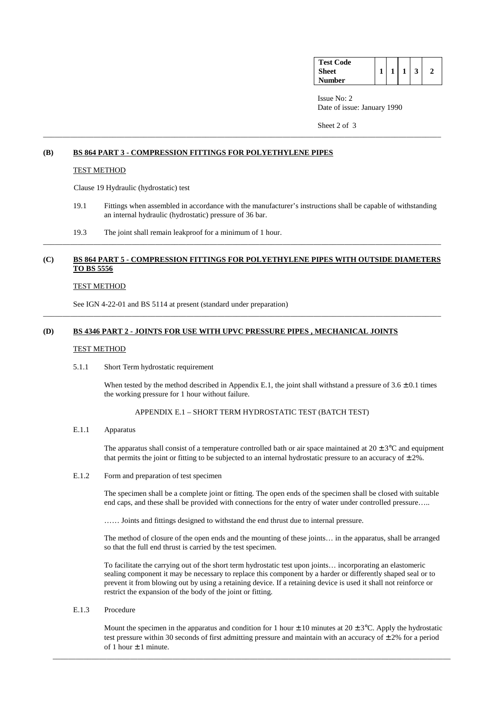| <b>Test Code</b> |  |  |  |
|------------------|--|--|--|
| Sheet            |  |  |  |
| Number           |  |  |  |

 Issue No: 2 Date of issue: January 1990

Sheet 2 of 3

# **(B) BS 864 PART 3 - COMPRESSION FITTINGS FOR POLYETHYLENE PIPES**

# TEST METHOD

Clause 19 Hydraulic (hydrostatic) test

- 19.1 Fittings when assembled in accordance with the manufacturer's instructions shall be capable of withstanding an internal hydraulic (hydrostatic) pressure of 36 bar.
- 19.3 The joint shall remain leakproof for a minimum of 1 hour.

# **(C) BS 864 PART 5 - COMPRESSION FITTINGS FOR POLYETHYLENE PIPES WITH OUTSIDE DIAMETERS TO BS 5556**

\_\_\_\_\_\_\_\_\_\_\_\_\_\_\_\_\_\_\_\_\_\_\_\_\_\_\_\_\_\_\_\_\_\_\_\_\_\_\_\_\_\_\_\_\_\_\_\_\_\_\_\_\_\_\_\_\_\_\_\_\_\_\_\_\_\_\_\_\_\_\_\_\_\_\_\_\_\_\_\_\_\_\_\_\_\_\_\_\_\_\_\_\_\_\_\_\_\_\_\_\_\_\_

\_\_\_\_\_\_\_\_\_\_\_\_\_\_\_\_\_\_\_\_\_\_\_\_\_\_\_\_\_\_\_\_\_\_\_\_\_\_\_\_\_\_\_\_\_\_\_\_\_\_\_\_\_\_\_\_\_\_\_\_\_\_\_\_\_\_\_\_\_\_\_\_\_\_\_\_\_\_\_\_\_\_\_\_\_\_\_\_\_\_\_\_\_\_\_\_\_\_\_\_\_\_\_

\_\_\_\_\_\_\_\_\_\_\_\_\_\_\_\_\_\_\_\_\_\_\_\_\_\_\_\_\_\_\_\_\_\_\_\_\_\_\_\_\_\_\_\_\_\_\_\_\_\_\_\_\_\_\_\_\_\_\_\_\_\_\_\_\_\_\_\_\_\_\_\_\_\_\_\_\_\_\_\_\_\_\_\_\_\_\_\_\_\_\_\_\_\_\_\_\_\_\_\_\_\_\_

#### TEST METHOD

See IGN 4-22-01 and BS 5114 at present (standard under preparation)

# **(D) BS 4346 PART 2 - JOINTS FOR USE WITH UPVC PRESSURE PIPES , MECHANICAL JOINTS**

## TEST METHOD

# 5.1.1 Short Term hydrostatic requirement

When tested by the method described in Appendix E.1, the joint shall withstand a pressure of  $3.6 \pm 0.1$  times the working pressure for 1 hour without failure.

# APPENDIX E.1 – SHORT TERM HYDROSTATIC TEST (BATCH TEST)

## E.1.1 Apparatus

The apparatus shall consist of a temperature controlled bath or air space maintained at  $20 \pm 3^{\circ}$ C and equipment that permits the joint or fitting to be subjected to an internal hydrostatic pressure to an accuracy of  $\pm 2\%$ .

# E.1.2 Form and preparation of test specimen

 The specimen shall be a complete joint or fitting. The open ends of the specimen shall be closed with suitable end caps, and these shall be provided with connections for the entry of water under controlled pressure…..

…… Joints and fittings designed to withstand the end thrust due to internal pressure.

 The method of closure of the open ends and the mounting of these joints… in the apparatus, shall be arranged so that the full end thrust is carried by the test specimen.

 To facilitate the carrying out of the short term hydrostatic test upon joints… incorporating an elastomeric sealing component it may be necessary to replace this component by a harder or differently shaped seal or to prevent it from blowing out by using a retaining device. If a retaining device is used it shall not reinforce or restrict the expansion of the body of the joint or fitting.

E.1.3 Procedure

Mount the specimen in the apparatus and condition for 1 hour  $\pm$  10 minutes at 20  $\pm$  3°C. Apply the hydrostatic test pressure within 30 seconds of first admitting pressure and maintain with an accuracy of  $\pm 2\%$  for a period of 1 hour  $\pm$  1 minute.

 $\overline{\phantom{a}}$  , and the set of the set of the set of the set of the set of the set of the set of the set of the set of the set of the set of the set of the set of the set of the set of the set of the set of the set of the s